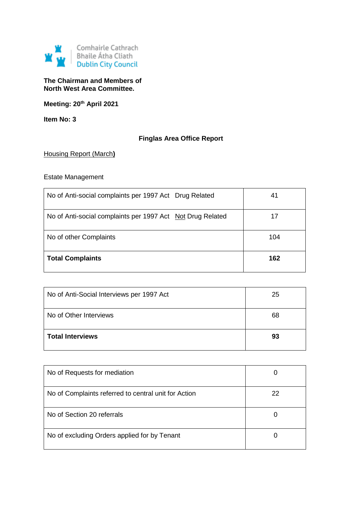

## **The Chairman and Members of North West Area Committee.**

**Meeting: 20th April 2021**

**Item No: 3**

# **Finglas Area Office Report**

## Housing Report (March**)**

# Estate Management

| No of Anti-social complaints per 1997 Act Drug Related     | 41  |
|------------------------------------------------------------|-----|
| No of Anti-social complaints per 1997 Act Not Drug Related | 17  |
| No of other Complaints                                     | 104 |
| <b>Total Complaints</b>                                    | 162 |

| No of Anti-Social Interviews per 1997 Act | 25 |
|-------------------------------------------|----|
| No of Other Interviews                    | 68 |
| <b>Total Interviews</b>                   | 93 |

| No of Requests for mediation                         |    |
|------------------------------------------------------|----|
| No of Complaints referred to central unit for Action | 22 |
| No of Section 20 referrals                           |    |
| No of excluding Orders applied for by Tenant         |    |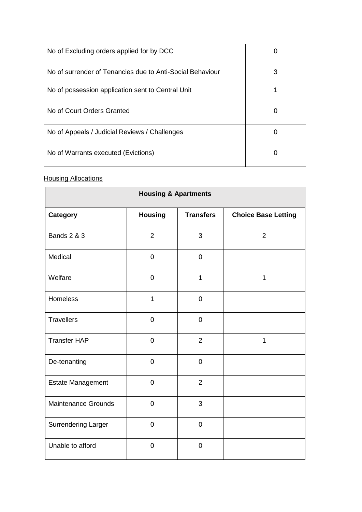| No of Excluding orders applied for by DCC                 |   |
|-----------------------------------------------------------|---|
| No of surrender of Tenancies due to Anti-Social Behaviour | 3 |
| No of possession application sent to Central Unit         | 1 |
| No of Court Orders Granted                                |   |
| No of Appeals / Judicial Reviews / Challenges             |   |
| No of Warrants executed (Evictions)                       |   |

# **Housing Allocations**

| <b>Housing &amp; Apartments</b> |                |                  |                            |
|---------------------------------|----------------|------------------|----------------------------|
| <b>Category</b>                 | <b>Housing</b> | <b>Transfers</b> | <b>Choice Base Letting</b> |
| <b>Bands 2 &amp; 3</b>          | $\overline{2}$ | 3                | $\overline{2}$             |
| Medical                         | $\pmb{0}$      | $\boldsymbol{0}$ |                            |
| Welfare                         | $\mathbf 0$    | $\overline{1}$   | 1                          |
| Homeless                        | $\mathbf{1}$   | $\mathbf 0$      |                            |
| <b>Travellers</b>               | $\mathbf 0$    | $\overline{0}$   |                            |
| <b>Transfer HAP</b>             | $\overline{0}$ | $\overline{2}$   | $\mathbf{1}$               |
| De-tenanting                    | $\mathbf 0$    | $\mathbf 0$      |                            |
| Estate Management               | $\mathbf 0$    | $\overline{2}$   |                            |
| <b>Maintenance Grounds</b>      | $\pmb{0}$      | 3                |                            |
| <b>Surrendering Larger</b>      | $\mathbf 0$    | $\mathbf 0$      |                            |
| Unable to afford                | $\overline{0}$ | $\overline{0}$   |                            |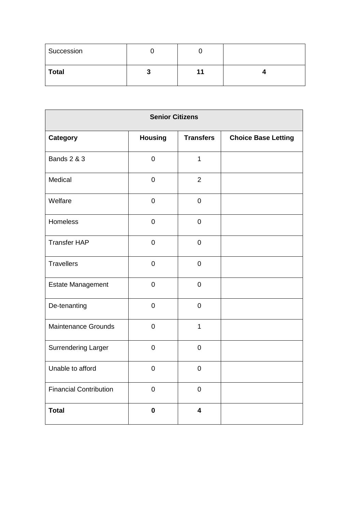| Succession   |   |  |
|--------------|---|--|
| <b>Total</b> | w |  |

| <b>Senior Citizens</b>        |                |                         |                            |
|-------------------------------|----------------|-------------------------|----------------------------|
| Category                      | <b>Housing</b> | <b>Transfers</b>        | <b>Choice Base Letting</b> |
| <b>Bands 2 &amp; 3</b>        | $\mathbf 0$    | $\mathbf{1}$            |                            |
| Medical                       | $\mathbf 0$    | $\overline{2}$          |                            |
| Welfare                       | $\mathbf 0$    | $\mathbf 0$             |                            |
| Homeless                      | $\mathbf 0$    | $\mathbf 0$             |                            |
| <b>Transfer HAP</b>           | $\mathbf 0$    | $\mathbf 0$             |                            |
| <b>Travellers</b>             | $\pmb{0}$      | $\mathbf 0$             |                            |
| <b>Estate Management</b>      | $\mathbf 0$    | $\mathbf 0$             |                            |
| De-tenanting                  | $\mathbf 0$    | $\overline{0}$          |                            |
| <b>Maintenance Grounds</b>    | $\overline{0}$ | $\mathbf{1}$            |                            |
| <b>Surrendering Larger</b>    | $\mathbf 0$    | $\overline{0}$          |                            |
| Unable to afford              | $\mathbf 0$    | $\mathbf 0$             |                            |
| <b>Financial Contribution</b> | $\pmb{0}$      | $\mathbf 0$             |                            |
| <b>Total</b>                  | $\mathbf 0$    | $\overline{\mathbf{4}}$ |                            |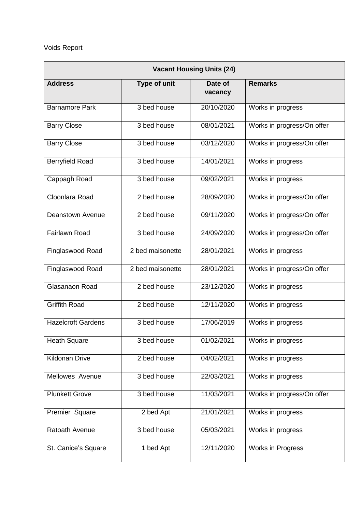# Voids Report

| <b>Vacant Housing Units (24)</b> |                          |                    |                            |
|----------------------------------|--------------------------|--------------------|----------------------------|
| <b>Address</b>                   | Type of unit             | Date of<br>vacancy | <b>Remarks</b>             |
| <b>Barnamore Park</b>            | 3 bed house              | 20/10/2020         | Works in progress          |
| <b>Barry Close</b>               | 3 bed house              | 08/01/2021         | Works in progress/On offer |
| <b>Barry Close</b>               | 3 bed house              | 03/12/2020         | Works in progress/On offer |
| <b>Berryfield Road</b>           | 3 bed house              | 14/01/2021         | Works in progress          |
| Cappagh Road                     | 3 bed house              | 09/02/2021         | Works in progress          |
| Cloonlara Road                   | 2 bed house              | 28/09/2020         | Works in progress/On offer |
| <b>Deanstown Avenue</b>          | 2 bed house              | 09/11/2020         | Works in progress/On offer |
| Fairlawn Road                    | 3 bed house              | 24/09/2020         | Works in progress/On offer |
| Finglaswood Road                 | 2 bed maisonette         | 28/01/2021         | Works in progress          |
| Finglaswood Road                 | 2 bed maisonette         | 28/01/2021         | Works in progress/On offer |
| Glasanaon Road                   | $\overline{2}$ bed house | 23/12/2020         | Works in progress          |
| <b>Griffith Road</b>             | 2 bed house              | 12/11/2020         | Works in progress          |
| <b>Hazelcroft Gardens</b>        | 3 bed house              | 17/06/2019         | Works in progress          |
| <b>Heath Square</b>              | 3 bed house              | 01/02/2021         | Works in progress          |
| Kildonan Drive                   | 2 bed house              | 04/02/2021         | Works in progress          |
| Mellowes Avenue                  | 3 bed house              | 22/03/2021         | Works in progress          |
| <b>Plunkett Grove</b>            | 3 bed house              | 11/03/2021         | Works in progress/On offer |
| Premier Square                   | 2 bed Apt                | 21/01/2021         | Works in progress          |
| Ratoath Avenue                   | 3 bed house              | 05/03/2021         | Works in progress          |
| St. Canice's Square              | 1 bed Apt                | 12/11/2020         | Works in Progress          |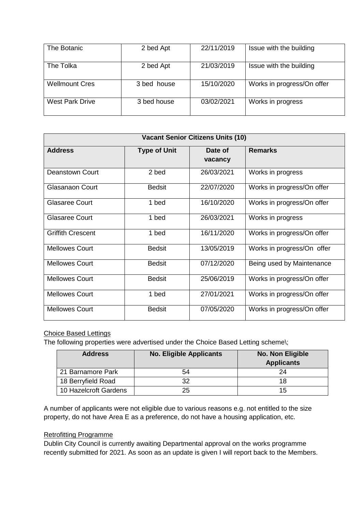| The Botanic            | 2 bed Apt   | 22/11/2019 | Issue with the building    |
|------------------------|-------------|------------|----------------------------|
| The Tolka              | 2 bed Apt   | 21/03/2019 | Issue with the building    |
| <b>Wellmount Cres</b>  | 3 bed house | 15/10/2020 | Works in progress/On offer |
| <b>West Park Drive</b> | 3 bed house | 03/02/2021 | Works in progress          |

| <b>Vacant Senior Citizens Units (10)</b> |                     |                    |                            |
|------------------------------------------|---------------------|--------------------|----------------------------|
| <b>Address</b>                           | <b>Type of Unit</b> | Date of<br>vacancy | <b>Remarks</b>             |
| Deanstown Court                          | 2 bed               | 26/03/2021         | Works in progress          |
| <b>Glasanaon Court</b>                   | <b>Bedsit</b>       | 22/07/2020         | Works in progress/On offer |
| <b>Glasaree Court</b>                    | 1 bed               | 16/10/2020         | Works in progress/On offer |
| Glasaree Court                           | 1 bed               | 26/03/2021         | Works in progress          |
| <b>Griffith Crescent</b>                 | 1 bed               | 16/11/2020         | Works in progress/On offer |
| <b>Mellowes Court</b>                    | <b>Bedsit</b>       | 13/05/2019         | Works in progress/On offer |
| <b>Mellowes Court</b>                    | <b>Bedsit</b>       | 07/12/2020         | Being used by Maintenance  |
| <b>Mellowes Court</b>                    | <b>Bedsit</b>       | 25/06/2019         | Works in progress/On offer |
| <b>Mellowes Court</b>                    | 1 bed               | 27/01/2021         | Works in progress/On offer |
| <b>Mellowes Court</b>                    | <b>Bedsit</b>       | 07/05/2020         | Works in progress/On offer |

# Choice Based Lettings

The following properties were advertised under the Choice Based Letting scheme\;

| <b>Address</b>        | <b>No. Eligible Applicants</b> | No. Non Eligible<br><b>Applicants</b> |
|-----------------------|--------------------------------|---------------------------------------|
| 21 Barnamore Park     | 54                             | 24                                    |
| 18 Berryfield Road    | つつ                             | 18                                    |
| 10 Hazelcroft Gardens | 25                             | 15                                    |

A number of applicants were not eligible due to various reasons e.g. not entitled to the size property, do not have Area E as a preference, do not have a housing application, etc.

### Retrofitting Programme

Dublin City Council is currently awaiting Departmental approval on the works programme recently submitted for 2021. As soon as an update is given I will report back to the Members.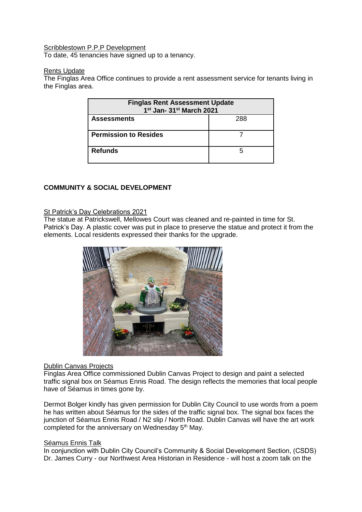#### Scribblestown P.P.P Development

To date, 45 tenancies have signed up to a tenancy.

#### Rents Update

The Finglas Area Office continues to provide a rent assessment service for tenants living in the Finglas area.

| <b>Finglas Rent Assessment Update</b><br>1st Jan- 31st March 2021 |  |  |
|-------------------------------------------------------------------|--|--|
| 288<br><b>Assessments</b>                                         |  |  |
| <b>Permission to Resides</b>                                      |  |  |
| <b>Refunds</b>                                                    |  |  |

## **COMMUNITY & SOCIAL DEVELOPMENT**

## St Patrick's Day Celebrations 2021

The statue at Patrickswell, Mellowes Court was cleaned and re-painted in time for St. Patrick's Day. A plastic cover was put in place to preserve the statue and protect it from the elements. Local residents expressed their thanks for the upgrade.



## Dublin Canvas Projects

Finglas Area Office commissioned Dublin Canvas Project to design and paint a selected traffic signal box on Séamus Ennis Road. The design reflects the memories that local people have of Séamus in times gone by.

Dermot Bolger kindly has given permission for Dublin City Council to use words from a poem he has written about Séamus for the sides of the traffic signal box. The signal box faces the junction of Séamus Ennis Road / N2 slip / North Road. Dublin Canvas will have the art work completed for the anniversary on Wednesday 5<sup>th</sup> May.

#### Séamus Ennis Talk

In conjunction with Dublin City Council's Community & Social Development Section, (CSDS) Dr. James Curry - our Northwest Area Historian in Residence - will host a zoom talk on the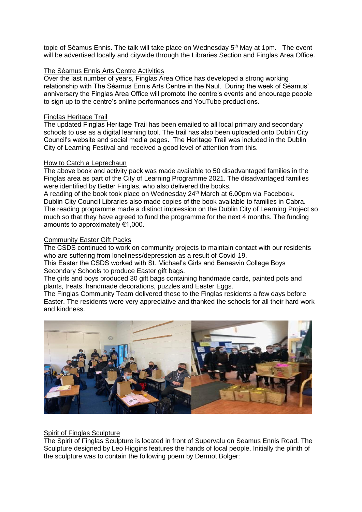topic of Séamus Ennis. The talk will take place on Wednesday 5<sup>th</sup> May at 1pm. The event will be advertised locally and citywide through the Libraries Section and Finglas Area Office.

#### The Séamus Ennis Arts Centre Activities

Over the last number of years, Finglas Area Office has developed a strong working relationship with The Séamus Ennis Arts Centre in the Naul. During the week of Séamus' anniversary the Finglas Area Office will promote the centre's events and encourage people to sign up to the centre's online performances and YouTube productions.

#### Finglas Heritage Trail

The updated Finglas Heritage Trail has been emailed to all local primary and secondary schools to use as a digital learning tool. The trail has also been uploaded onto Dublin City Council's website and social media pages. The Heritage Trail was included in the Dublin City of Learning Festival and received a good level of attention from this.

#### How to Catch a Leprechaun

The above book and activity pack was made available to 50 disadvantaged families in the Finglas area as part of the City of Learning Programme 2021. The disadvantaged families were identified by Better Finglas, who also delivered the books.

A reading of the book took place on Wednesday  $24<sup>th</sup>$  March at 6.00pm via Facebook. Dublin City Council Libraries also made copies of the book available to families in Cabra. The reading programme made a distinct impression on the Dublin City of Learning Project so much so that they have agreed to fund the programme for the next 4 months. The funding amounts to approximately €1,000.

#### Community Easter Gift Packs

The CSDS continued to work on community projects to maintain contact with our residents who are suffering from loneliness/depression as a result of Covid-19.

This Easter the CSDS worked with St. Michael's Girls and Beneavin College Boys Secondary Schools to produce Easter gift bags.

The girls and boys produced 30 gift bags containing handmade cards, painted pots and plants, treats, handmade decorations, puzzles and Easter Eggs.

The Finglas Community Team delivered these to the Finglas residents a few days before Easter. The residents were very appreciative and thanked the schools for all their hard work and kindness.



## Spirit of Finglas Sculpture

The Spirit of Finglas Sculpture is located in front of Supervalu on Seamus Ennis Road. The Sculpture designed by Leo Higgins features the hands of local people. Initially the plinth of the sculpture was to contain the following poem by Dermot Bolger: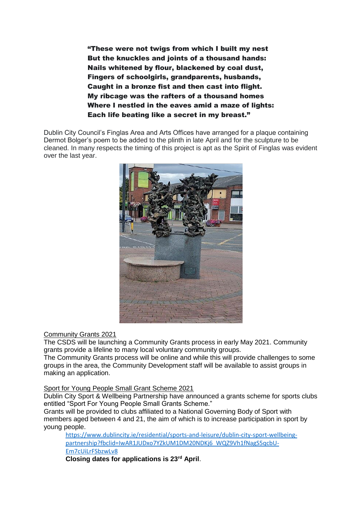"These were not twigs from which I built my nest But the knuckles and joints of a thousand hands: Nails whitened by flour, blackened by coal dust, Fingers of schoolgirls, grandparents, husbands, Caught in a bronze fist and then cast into flight. My ribcage was the rafters of a thousand homes Where I nestled in the eaves amid a maze of lights: Each life beating like a secret in my breast."

Dublin City Council's Finglas Area and Arts Offices have arranged for a plaque containing Dermot Bolger's poem to be added to the plinth in late April and for the sculpture to be cleaned. In many respects the timing of this project is apt as the Spirit of Finglas was evident over the last year.



## Community Grants 2021

The CSDS will be launching a Community Grants process in early May 2021. Community grants provide a lifeline to many local voluntary community groups.

The Community Grants process will be online and while this will provide challenges to some groups in the area, the Community Development staff will be available to assist groups in making an application.

#### Sport for Young People Small Grant Scheme 2021

Dublin City Sport & Wellbeing Partnership have announced a grants scheme for sports clubs entitled "Sport For Young People Small Grants Scheme."

Grants will be provided to clubs affiliated to a National Governing Body of Sport with members aged between 4 and 21, the aim of which is to increase participation in sport by young people.

[https://www.dublincity.ie/residential/sports-and-leisure/dublin-city-sport-wellbeing](https://www.dublincity.ie/residential/sports-and-leisure/dublin-city-sport-wellbeing-partnership?fbclid=IwAR1JUDxo7YZkUM1DM20NDKj6_WQZ9Vh1fNagS5qcbU-Em7cUiLrFSbzwLv8)[partnership?fbclid=IwAR1JUDxo7YZkUM1DM20NDKj6\\_WQZ9Vh1fNagS5qcbU-](https://www.dublincity.ie/residential/sports-and-leisure/dublin-city-sport-wellbeing-partnership?fbclid=IwAR1JUDxo7YZkUM1DM20NDKj6_WQZ9Vh1fNagS5qcbU-Em7cUiLrFSbzwLv8)[Em7cUiLrFSbzwLv8](https://www.dublincity.ie/residential/sports-and-leisure/dublin-city-sport-wellbeing-partnership?fbclid=IwAR1JUDxo7YZkUM1DM20NDKj6_WQZ9Vh1fNagS5qcbU-Em7cUiLrFSbzwLv8)

**Closing dates for applications is 23rd April**.